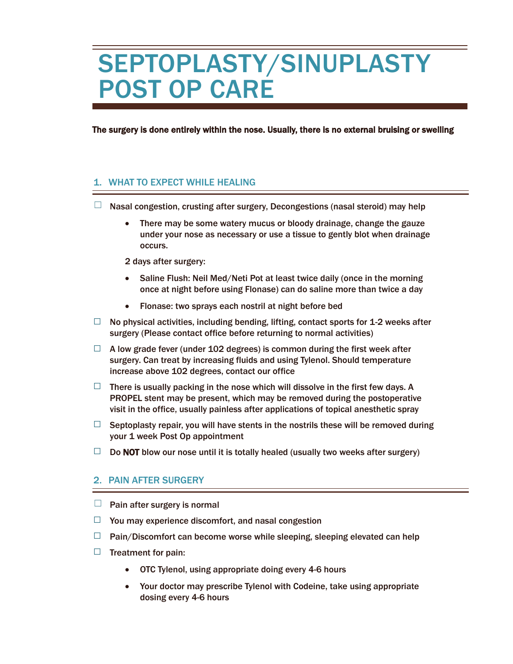## SEPTOPLASTY/SINUPLASTY POST OP CARE

The surgery is done entirely within the nose. Usually, there is no external bruising or swelling

## 1. WHAT TO EXPECT WHILE HEALING

- $\Box$  Nasal congestion, crusting after surgery, Decongestions (nasal steroid) may help
	- There may be some watery mucus or bloody drainage, change the gauze under your nose as necessary or use a tissue to gently blot when drainage occurs.

2 days after surgery:

- Saline Flush: Neil Med/Neti Pot at least twice daily (once in the morning once at night before using Flonase) can do saline more than twice a day
- Flonase: two sprays each nostril at night before bed
- $\Box$  No physical activities, including bending, lifting, contact sports for 1-2 weeks after surgery (Please contact office before returning to normal activities)
- $\Box$  A low grade fever (under 102 degrees) is common during the first week after surgery. Can treat by increasing fluids and using Tylenol. Should temperature increase above 102 degrees, contact our office
- $\Box$  There is usually packing in the nose which will dissolve in the first few days. A PROPEL stent may be present, which may be removed during the postoperative visit in the office, usually painless after applications of topical anesthetic spray
- $\Box$  Septoplasty repair, you will have stents in the nostrils these will be removed during your 1 week Post Op appointment
- $\Box$  Do NOT blow our nose until it is totally healed (usually two weeks after surgery)

## 2. PAIN AFTER SURGERY

- $\Box$  Pain after surgery is normal
- $\Box$  You may experience discomfort, and nasal congestion
- $\Box$  Pain/Discomfort can become worse while sleeping, sleeping elevated can help
- $\Box$  Treatment for pain:
	- OTC Tylenol, using appropriate doing every 4-6 hours
	- Your doctor may prescribe Tylenol with Codeine, take using appropriate dosing every 4-6 hours